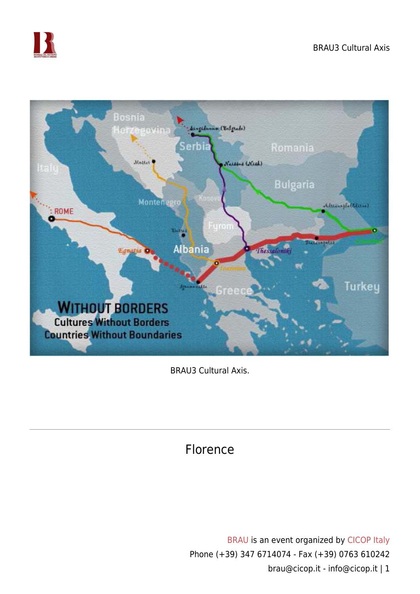



BRAU3 Cultural Axis.

## Florence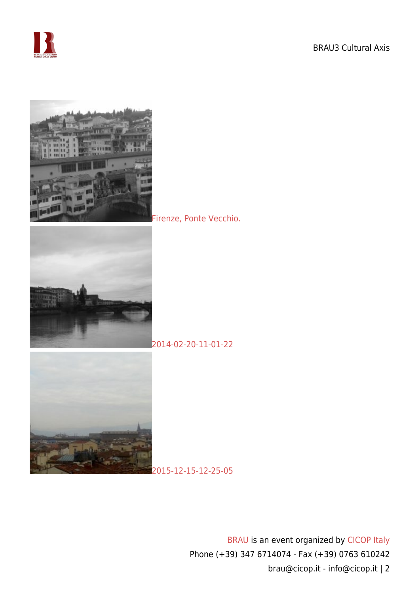







[2014-02-20-11-01-22](https://www.cicop.it/brau/wp-content/uploads/2016/11/2014-02-20-11.01.22.jpg)

[2015-12-15-12-25-05](https://www.cicop.it/brau/wp-content/uploads/2016/11/2015-12-15-12.25.05.jpg)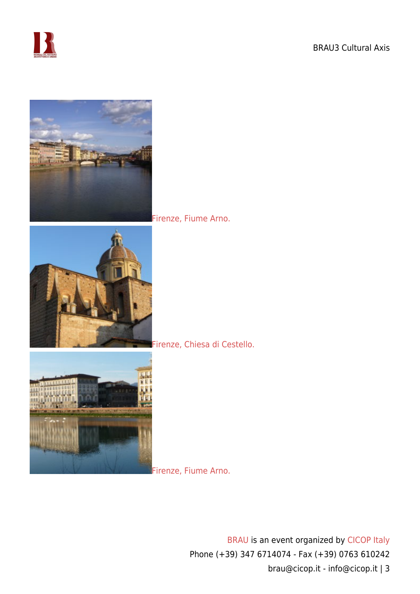



## [Firenze, Fiume Arno.](https://www.cicop.it/brau/wp-content/uploads/2016/11/IMG_2921.jpg)





## [Firenze, Chiesa di Cestello.](https://www.cicop.it/brau/wp-content/uploads/2016/11/Firenze.P1000338.jpg)

[Firenze, Fiume Arno.](https://www.cicop.it/brau/wp-content/uploads/2016/11/Firenze.P1000336.jpg)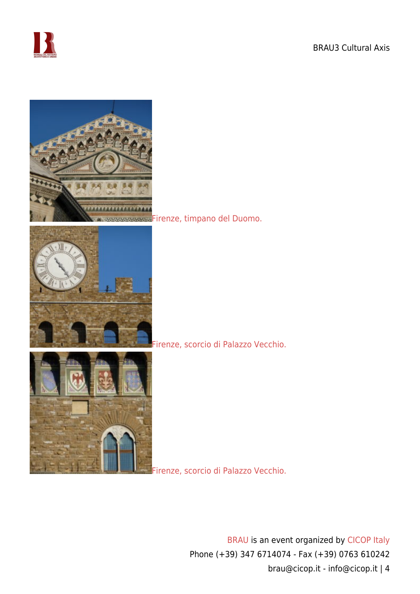



[Firenze, timpano del Duomo.](https://www.cicop.it/brau/wp-content/uploads/2016/11/Firenze.P1000335.jpg)





[Firenze, scorcio di Palazzo Vecchio.](https://www.cicop.it/brau/wp-content/uploads/2016/11/Firenze.P1000333.jpg)

[Firenze, scorcio di Palazzo Vecchio.](https://www.cicop.it/brau/wp-content/uploads/2016/11/Firenze.000334.jpg)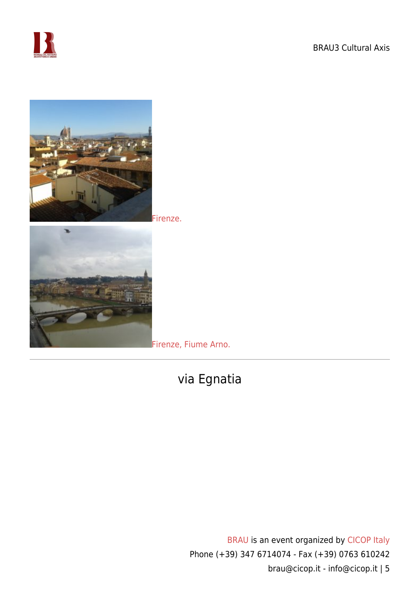



[Firenze.](https://www.cicop.it/brau/wp-content/uploads/2016/11/2016-02-05-13.08.28.jpg)



[Firenze, Fiume Arno.](https://www.cicop.it/brau/wp-content/uploads/2016/11/2016-02-26-11.56.01.jpg)

## via Egnatia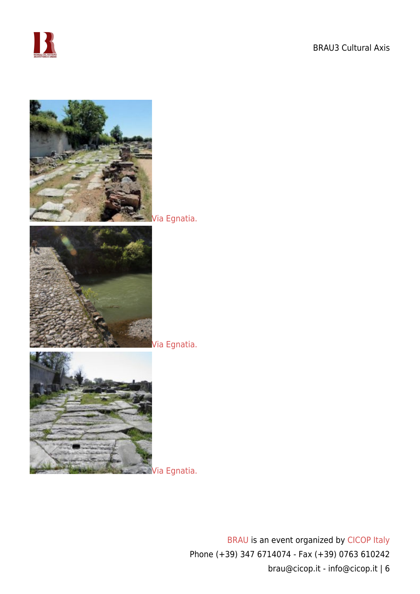



[Via Egnatia.](https://www.cicop.it/brau/wp-content/uploads/2016/11/viaEgnatia1.jpg)



[Via Egnatia.](https://www.cicop.it/brau/wp-content/uploads/2016/11/viaEgnatia2.jpg)



[Via Egnatia.](https://www.cicop.it/brau/wp-content/uploads/2016/11/viaEgnatia3.jpg)